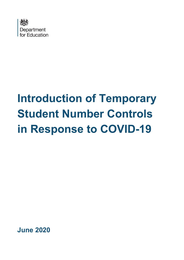

# **Introduction of Temporary Student Number Controls in Response to COVID-19**

**June 2020**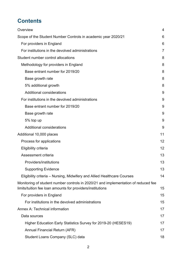# **Contents**

| Overview                                                                                                                                         | 4  |
|--------------------------------------------------------------------------------------------------------------------------------------------------|----|
| Scope of the Student Number Controls in academic year 2020/21                                                                                    | 6  |
| For providers in England                                                                                                                         | 6  |
| For institutions in the devolved administrations                                                                                                 | 7  |
| Student number control allocations                                                                                                               | 8  |
| Methodology for providers in England                                                                                                             | 8  |
| Base entrant number for 2019/20                                                                                                                  | 8  |
| Base growth rate                                                                                                                                 | 8  |
| 5% additional growth                                                                                                                             | 8  |
| Additional considerations                                                                                                                        | 9  |
| For institutions in the devolved administrations                                                                                                 | 9  |
| Base entrant number for 2019/20                                                                                                                  | 9  |
| Base growth rate                                                                                                                                 | 9  |
| 5% top up                                                                                                                                        | 9  |
| <b>Additional considerations</b>                                                                                                                 | 9  |
| Additional 10,000 places                                                                                                                         | 11 |
| Process for applications                                                                                                                         | 12 |
| Eligibility criteria                                                                                                                             | 12 |
| Assessment criteria                                                                                                                              | 13 |
| Providers/institutions                                                                                                                           | 13 |
| <b>Supporting Evidence</b>                                                                                                                       | 13 |
| Eligibility criteria – Nursing, Midwifery and Allied Healthcare Courses                                                                          | 14 |
| Monitoring of student number controls in 2020/21 and implementation of reduced fee<br>limits/tuition fee loan amounts for providers/institutions | 15 |
| For providers in England                                                                                                                         | 15 |
| For institutions in the devolved administrations                                                                                                 | 15 |
| <b>Annex A: Technical information</b>                                                                                                            | 17 |
| Data sources                                                                                                                                     | 17 |
| Higher Education Early Statistics Survey for 2019-20 (HESES19)                                                                                   | 17 |
| Annual Financial Return (AFR)                                                                                                                    | 17 |
| Student Loans Company (SLC) data                                                                                                                 | 18 |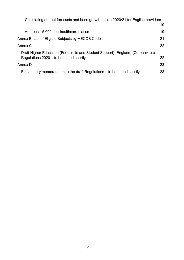| Calculating entrant forecasts and base growth rate in 2020/21 for English providers |    |
|-------------------------------------------------------------------------------------|----|
|                                                                                     | 19 |
| Additional 5,000 non-healthcare places                                              | 19 |
| Annex B: List of Eligible Subjects by HECOS Code                                    | 21 |
| Annex C                                                                             | 22 |
| Draft Higher Education (Fee Limits and Student Support) (England) (Coronavirus)     |    |
| Regulations $2020 -$ to be added shortly                                            | 22 |
| Annex D                                                                             | 23 |
| Explanatory memorandum to the draft Regulations – to be added shortly               | 23 |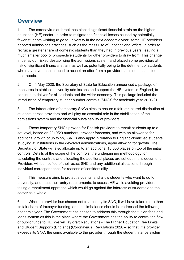## <span id="page-3-0"></span>**Overview**

1. The coronavirus outbreak has placed significant financial strain on the higher education (HE) sector. In order to mitigate the financial losses caused by potentially fewer students wishing to go to university in the next academic year, some HE providers adopted admissions practices, such as the mass use of unconditional offers, in order to recruit a greater share of domestic students than they had in previous years, leaving a much smaller pool of prospective students for other providers to draw from. This change in behaviour risked destabilising the admissions system and placed some providers at risk of significant financial strain, as well as potentially being to the detriment of students who may have been induced to accept an offer from a provider that is not best suited to their needs.

2. On 4 May 2020, the Secretary of State for Education announced a package of measures to stabilise university admissions and support the HE system in England, to continue to deliver for all students and the wider economy. This package included the introduction of temporary student number controls (SNCs) for academic year 2020/21.

3. The introduction of temporary SNCs aims to ensure a fair, structured distribution of students across providers and will play an essential role in the stabilisation of the admissions system and the financial sustainability of providers.

4. These temporary SNCs provide for English providers to recruit students up to a set level, based on 2019/20 numbers, provider forecasts, and with an allowance for additional growth of up to 5%. SNCs also apply in relation to England-domiciled students studying at institutions in the devolved administrations, again allowing for growth. The Secretary of State will also allocate up to an additional 10,000 places on top of the initial controls. Details of the scope of the controls, the underpinning methodology for calculating the controls and allocating the additional places are set out in this document. Providers will be notified of their exact SNC and any additional allocations through individual correspondence for reasons of confidentiality.

5. This measure aims to protect students, and allow students who want to go to university, and meet their entry requirements, to access HE while avoiding providers taking a recruitment approach which would go against the interests of students and the sector as a whole.

6. Where a provider has chosen not to abide by its SNC, it will have taken more than its fair share of taxpayer funding, and this imbalance should be redressed the following academic year. The Government has chosen to address this through the tuition fees and loans system as this is the place where the Government has the ability to control the flow of public funds to HE. We will lay draft Regulations - The Higher Education (fee Limits and Student Support) (England) (Coronavirus) Regulations 2020 – so that, if a provider exceeds its SNC, the sums available to the provider through the student finance system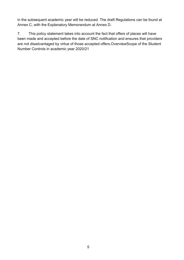in the subsequent academic year will be reduced. The draft Regulations can be found at Annex C, with the Explanatory Memorandum at Annex D.

7. This policy statement takes into account the fact that offers of places will have been made and accepted before the date of SNC notification and ensures that providers are not disadvantaged by virtue of those accepted offers.OverviewScope of the Student Number Controls in academic year 2020/21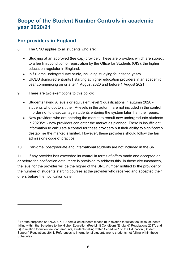## <span id="page-5-0"></span>**Scope of the Student Number Controls in academic year 2020/21**

## <span id="page-5-1"></span>**For providers in England**

- 8. The SNC applies to all students who are:
	- Studying at an approved (fee cap) provider. These are providers which are subject to a fee limit condition of registration by the Office for Students (OfS), the higher education regulator in England.
	- In full-time undergraduate study, including studying foundation years.
	- UK/EU domiciled entrants[1](#page-5-2) starting at higher education providers in an academic year commencing on or after 1 August 2020 and before 1 August 2021.
- 9. There are two exemptions to this policy:
	- Students taking A levels or equivalent level 3 qualifications in autumn 2020 students who opt to sit their A-levels in the autumn are not included in the control in order not to disadvantage students entering the system later than their peers.
	- New providers who are entering the market to recruit new undergraduate students in 2020/21 - new providers can enter the market as planned. There is insufficient information to calculate a control for these providers but their ability to significantly destabilise the market is limited. However, these providers should follow the fair admissions code of practice.
- 10. Part-time, postgraduate and international students are not included in the SNC.

11. If any provider has exceeded its control in terms of offers made and accepted on or before the notification date, there is provision to address this. In those circumstances, the level for the provider will be the higher of the SNC number notified to the provider or the number of students starting courses at the provider who received and accepted their offers before the notification date.

<span id="page-5-2"></span> $<sup>1</sup>$  For the purposes of SNCs, UK/EU domiciled students means (i) in relation to tuition fee limits, students</sup> falling within the Schedule to the Higher Education (Fee Limit Condition) (England) Regulations 2017, and (ii) in relation to tuition fee loan amounts, students falling within Schedule 1 to the Education (Student Support) Regulations 2011. References to international students are to students not falling within these Schedules.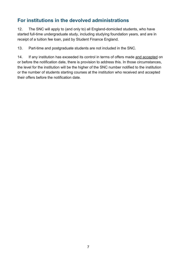## <span id="page-6-0"></span>**For institutions in the devolved administrations**

12. The SNC will apply to (and only to) all England-domiciled students, who have started full-time undergraduate study, including studying foundation years, and are in receipt of a tuition fee loan, paid by Student Finance England.

13. Part-time and postgraduate students are not included in the SNC.

14. If any institution has exceeded its control in terms of offers made and accepted on or before the notification date, there is provision to address this. In those circumstances, the level for the institution will be the higher of the SNC number notified to the institution or the number of students starting courses at the institution who received and accepted their offers before the notification date.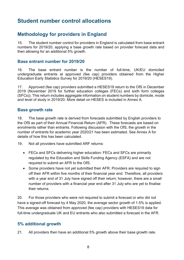## <span id="page-7-0"></span>**Student number control allocations**

## <span id="page-7-1"></span>**Methodology for providers in England**

15. The student number control for providers in England is calculated from base entrant numbers for 2019/20, applying a base growth rate based on provider forecast data and then allowing for an additional 5% growth.

#### <span id="page-7-2"></span>**Base entrant number for 2019/20**

16. The base entrant number is the number of full-time, UK/EU domiciled undergraduate entrants at approved (fee cap) providers obtained from the Higher Education Early Statistics Survey for 2019/20 (HESES19).

17. Approved (fee cap) providers submitted a HESES19 return to the OfS in December 2019 (November 2019 for further education colleges (FECs) and sixth form colleges (SFCs)). This return includes aggregate information on student numbers by domicile, mode and level of study in 2019/20. More detail on HESES is included in Annex A.

#### <span id="page-7-3"></span>**Base growth rate**

18. The base growth rate is derived from forecasts submitted by English providers to the OfS as part of their Annual Financial Return (AFR). These forecasts are based on enrolments rather than entrants. Following discussion with the OfS, the growth in the number of entrants for academic year 2020/21 has been estimated. See Annex A for details of how this has been calculated.

19. Not all providers have submitted ARF returns:

- FECs and SFCs delivering higher education: FECs and SFCs are primarily regulated by the Education and Skills Funding Agency (ESFA) and are not required to submit an AFR to the OfS.
- Some providers have not yet submitted their AFR. Providers are required to sign off their AFR within five months of their financial year end. Therefore, all providers with a year end of 31 July have signed off their return; however, there are a small number of providers with a financial year end after 31 July who are yet to finalise their returns.

20. For those providers who were not required to submit a forecast or who did not have a signed-off forecast by 4 May 2020, the average sector growth of 1.5% is applied. This average was obtained from approved (fee cap) providers with HESES19 data for full-time undergraduate UK and EU entrants who also submitted a forecast in the AFR.

#### <span id="page-7-4"></span>**5% additional growth**

21. All providers then have an additional 5% growth above their base growth rate.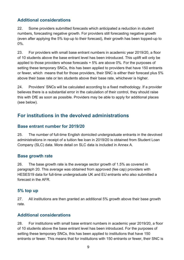## <span id="page-8-0"></span>**Additional considerations**

22. Some providers submitted forecasts which anticipated a reduction in student numbers, forecasting negative growth. For providers still forecasting negative growth (even after applying the 5% top-up to their forecast), their growth has been topped-up to 0%.

23. For providers with small base entrant numbers in academic year 2019/20, a floor of 10 students above the base entrant level has been introduced. This uplift will only be applied to those providers whose forecasts + 5% are above 0%. For the purposes of setting these temporary SNCs, this has been applied to providers that have 150 entrants or fewer, which means that for those providers, their SNC is either their forecast plus 5% above their base rate or ten students above their base rate, whichever is higher.

24. Providers' SNCs will be calculated according to a fixed methodology. If a provider believes there is a substantial error in the calculation of their control, they should raise this with DfE as soon as possible. Providers may be able to apply for additional places (see below).

## <span id="page-8-1"></span>**For institutions in the devolved administrations**

#### <span id="page-8-2"></span>**Base entrant number for 2019/20**

25. The number of full-time English domiciled undergraduate entrants in the devolved administrations in receipt of a tuition fee loan in 2019/20 is obtained from Student Loan Company (SLC) data. More detail on SLC data is included in Annex A.

#### <span id="page-8-3"></span>**Base growth rate**

26. The base growth rate is the average sector growth of 1.5% as covered in paragraph 20. This average was obtained from approved (fee cap) providers with HESES19 data for full-time undergraduate UK and EU entrants who also submitted a forecast in the AFR.

#### <span id="page-8-4"></span>**5% top up**

27. All institutions are then granted an additional 5% growth above their base growth rate.

## <span id="page-8-5"></span>**Additional considerations**

28. For institutions with small base entrant numbers in academic year 2019/20, a floor of 10 students above the base entrant level has been introduced. For the purposes of setting these temporary SNCs, this has been applied to institutions that have 150 entrants or fewer. This means that for institutions with 150 entrants or fewer, their SNC is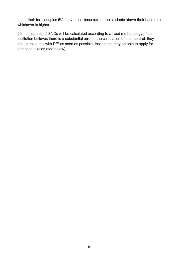either their forecast plus 5% above their base rate or ten students above their base rate, whichever is higher.

29. Institutions' SNCs will be calculated according to a fixed methodology. If an institution believes there is a substantial error in the calculation of their control, they should raise this with DfE as soon as possible. Institutions may be able to apply for additional places (see below).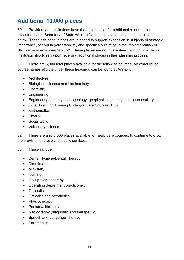# <span id="page-10-0"></span>**Additional 10,000 places**

30. Providers and institutions have the option to bid for additional places to be allocated by the Secretary of State within a fixed timescale for such bids, as set out below. These additional places are intended to support expansion in subjects of strategic importance, set out in paragraph 31, and specifically relating to the implementation of SNCs in academic year 2020/21. These places are not guaranteed, and no provider or institution should rely upon receiving additional places in their planning process.

31. There are 5,000 total places available for the following courses. An exact list of course names eligible under these headings can be found at Annex B:

- Architecture
- Biological sciences and biochemistry
- Chemistry
- Engineering
- Engineering geology; hydrogeology; geophysics; geology; and geochemistry
- Initial Teaching Training Undergraduate Courses (ITT)
- Mathematics
- Physics
- Social work
- Veterinary science

32. There are also 5,000 places available for healthcare courses, to continue to grow the provision of these vital public services.

#### 33. These include:

- Dental Hygiene/Dental Therapy
- Dietetics
- Midwifery
- Nursing
- Occupational therapy
- Operating department practitioner;
- Orthoptics
- Orthotics and prosthetics
- Physiotherapy
- Podiatry/chiropody
- Radiography (diagnostic and therapeutic)
- Speech and Language Therapy
- Paramedics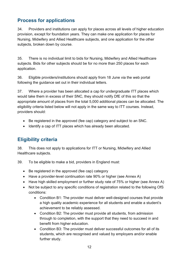## <span id="page-11-0"></span>**Process for applications**

34. Providers and institutions can apply for places across all levels of higher education provision, except for foundation years. They can make one application for places for Nursing, Midwifery and Allied Healthcare subjects, and one application for the other subjects, broken down by course.

35. There is no individual limit to bids for Nursing, Midwifery and Allied Healthcare subjects. Bids for other subjects should be for no more than 250 places for each application.

36. Eligible providers/institutions should apply from 18 June via the web portal following the guidance set out in their individual letters.

37. Where a provider has been allocated a cap for undergraduate ITT places which would take them in excess of their SNC, they should notify DfE of this so that the appropriate amount of places from the total 5,000 additional places can be allocated. The eligibility criteria listed below will not apply in the same way to ITT courses. Instead, providers should:

- Be registered in the approved (fee cap) category and subject to an SNC.
- Identify a cap of ITT places which has already been allocated.

## <span id="page-11-1"></span>**Eligibility criteria**

38. This does not apply to applications for ITT or Nursing, Midwifery and Allied Healthcare subjects.

39. To be eligible to make a bid, providers in England must:

- Be registered in the approved (fee cap) category
- Have a provider-level continuation rate 90% or higher (see Annex A)
- Have high skilled employment or further study rate of 75% or higher (see Annex A)
- Not be subject to any specific conditions of registration related to the following OfS conditions:
	- Condition B1: The provider must deliver well-designed courses that provide a high quality academic experience for all students and enable a student's achievement to be reliably assessed.
	- Condition B2: The provider must provide all students, from admission through to completion, with the support that they need to succeed in and benefit from higher education.
	- Condition B3: The provider must deliver successful outcomes for all of its students, which are recognised and valued by employers and/or enable further study.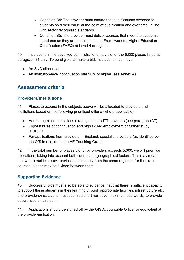- Condition B4: The provider must ensure that qualifications awarded to students hold their value at the point of qualification and over time, in line with sector recognised standards.
- Condition B5: The provider must deliver courses that meet the academic standards as they are described in the Framework for Higher Education Qualification (FHEQ) at Level 4 or higher.

40. Institutions in the devolved administrations may bid for the 5,000 places listed at paragraph 31 only. To be eligible to make a bid, institutions must have:

- An SNC allocation.
- An institution-level continuation rate 90% or higher (see Annex A).

## <span id="page-12-0"></span>**Assessment criteria**

## <span id="page-12-1"></span>**Providers/institutions**

41. Places to expand in the subjects above will be allocated to providers and institutions based on the following prioritised criteria (where applicable):

- Honouring place allocations already made to ITT providers (see paragraph 37)
- Highest rates of continuation and high skilled employment or further study (HSE/FS)
- For applications from providers in England, specialist providers (as identified by the OfS in relation to the HE Teaching Grant)

42. If the total number of places bid for by providers exceeds 5,000, we will prioritise allocations, taking into account both course and geographical factors. This may mean that where multiple providers/institutions apply from the same region or for the same courses, places may be divided between them.

## <span id="page-12-2"></span>**Supporting Evidence**

43. Successful bids must also be able to evidence that that there is sufficient capacity to support these students in their learning through appropriate facilities, infrastructure etc, and providers/institutions must submit a short narrative, maximum 500 words, to provide assurances on this point.

44. Applications should be signed off by the OfS Accountable Officer or equivalent at the provider/institution.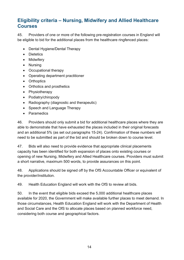## <span id="page-13-0"></span>**Eligibility criteria – Nursing, Midwifery and Allied Healthcare Courses**

45. Providers of one or more of the following pre-registration courses in England will be eligible to bid for the additional places from the healthcare ringfenced places:

- Dental Hygiene/Dental Therapy
- Dietetics
- Midwifery
- Nursing
- Occupational therapy
- Operating department practitioner
- Orthoptics
- Orthotics and prosthetics
- Physiotherapy
- Podiatry/chiropody
- Radiography (diagnostic and therapeutic)
- Speech and Language Therapy
- Paramedics

46. Providers should only submit a bid for additional healthcare places where they are able to demonstrate that have exhausted the places included in their original forecasts and an additional 5% (as set out paragraphs 15-24). Confirmation of these numbers will need to be submitted as part of the bid and should be broken down to course level.

47. Bids will also need to provide evidence that appropriate clinical placements capacity has been identified for both expansion of places onto existing courses or opening of new Nursing, Midwifery and Allied Healthcare courses. Providers must submit a short narrative, maximum 500 words, to provide assurances on this point.

48. Applications should be signed off by the OfS Accountable Officer or equivalent of the provider/institution.

49. Health Education England will work with the OfS to review all bids.

50. In the event that eligible bids exceed the 5,000 additional healthcare places available for 2020, the Government will make available further places to meet demand. In those circumstances, Health Education England will work with the Department of Health and Social Care and the OfS to allocate places based on planned workforce need, considering both course and geographical factors.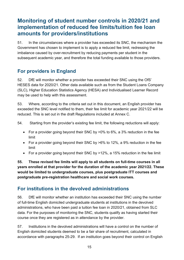## <span id="page-14-0"></span>**Monitoring of student number controls in 2020/21 and implementation of reduced fee limits/tuition fee loan amounts for providers/institutions**

51. In the circumstances where a provider has exceeded its SNC, the mechanism the Government has chosen to implement is to apply a reduced fee limit, redressing the imbalance caused by over-recruitment by reducing payments per student in the subsequent academic year, and therefore the total funding available to those providers.

## <span id="page-14-1"></span>**For providers in England**

52. DfE will monitor whether a provider has exceeded their SNC using the OfS' HESES data for 2020/21. Other data available such as from the Student Loans Company (SLC), Higher Education Statistics Agency (HESA) and Individualised Learner Record may be used to help with this assessment.

53. Where, according to the criteria set out in this document, an English provider has exceeded the SNC level notified to them, their fee limit for academic year 2021/22 will be reduced. This is set out in the draft Regulations included at Annex C.

54. Starting from the provider's existing fee limit, the following reductions will apply:

- For a provider going beyond their SNC by >0% to 6%, a 3% reduction in the fee limit
- For a provider going beyond their SNC by >6% to 12%, a 9% reduction in the fee limit
- For a provider going beyond their SNC by >12%, a 15% reduction in the fee limit

**55. These revised fee limits will apply to all students on full-time courses in all years enrolled at that provider for the duration of the academic year 2021/22. These would be limited to undergraduate courses, plus postgraduate ITT courses and postgraduate pre-registration healthcare and social work courses.**

## <span id="page-14-2"></span>**For institutions in the devolved administrations**

56. DfE will monitor whether an institution has exceeded their SNC using the number of full-time English domiciled undergraduate students at institutions in the devolved administrations, who have been paid a tuition fee loan in 2020/21, obtained from SLC data. For the purposes of monitoring the SNC, students qualify as having started their course once they are registered as in attendance by the provider.

57. Institutions in the devolved administrations will have a control on the number of English domiciled students deemed to be a fair share of recruitment, calculated in accordance with paragraphs 25-29. If an institution goes beyond their control on English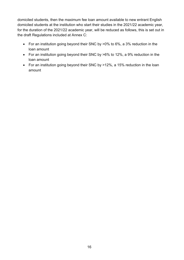domiciled students, then the maximum fee loan amount available to new entrant English domiciled students at the institution who start their studies in the 2021/22 academic year, for the duration of the 2021/22 academic year, will be reduced as follows, this is set out in the draft Regulations included at Annex C:

- For an institution going beyond their SNC by >0% to 6%, a 3% reduction in the loan amount
- For an institution going beyond their SNC by >6% to 12%, a 9% reduction in the loan amount
- For an institution going beyond their SNC by >12%, a 15% reduction in the loan amount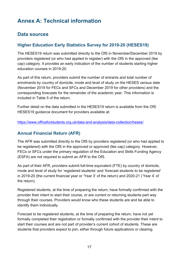## <span id="page-16-0"></span>**Annex A: Technical information**

## <span id="page-16-1"></span>**Data sources**

## <span id="page-16-2"></span>**Higher Education Early Statistics Survey for 2019-20 (HESES19)**

The HESES19 return was submitted directly to the OfS in November/December 2019 by providers registered (or who had applied to register) with the OfS in the approved (fee cap) category. It provides an early indication of the number of students starting higher education courses in 2019-20.

As part of this return, providers submit the number of entrants and total number of enrolments by country of domicile, mode and level of study on the HESES census date (November 2019 for FECs and SFCs and December 2019 for other providers) and the corresponding forecasts for the remainder of the academic year. This information is included in Table 5 of the return.

Further detail on the data submitted in the HESES19 return is available from the OfS HESES19 guidance document for providers available at:

<https://www.officeforstudents.org.uk/data-and-analysis/data-collection/heses/>

#### <span id="page-16-3"></span>**Annual Financial Return (AFR)**

The AFR was submitted directly to the OfS by providers registered (or who had applied to be registered) with the OfS in the approved or approved (fee cap) category. However, FECs or SFCs under the primary regulation of the Education and Skills Funding Agency (ESFA) are not required to submit an AFR to the OfS.

As part of their AFR, providers submit full-time equivalent (FTE) by country of domicile, mode and level of study for 'registered students' and 'forecast students to be registered' in 2019-20 (the current financial year or 'Year 3' of the return) and 2020-21 ('Year 4' of the return).

Registered students, at the time of preparing the return, have formally confirmed with the provider their intent to start their course, or are current or returning students part way through their courses. Providers would know who these students are and be able to identify them individually.

Forecast to be registered students, at the time of preparing the return, have not yet formally completed their registration or formally confirmed with the provider their intent to start their courses and are not part of provider's current cohort of students. These are students that providers expect to join, either through future applications or clearing.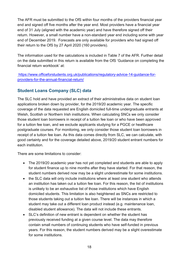The AFR must be submitted to the OfS within four months of the providers financial year end and signed off five months after the year end. Most providers have a financial year end of 31 July (aligned with the academic year) and have therefore signed off their return. However, a small number have a non-standard year end including some with year end of December 2019. Forecasts are only available for providers who had signed off their return to the OfS by 27 April 2020 (160 providers).

The information used for the calculations is included in Table 7 of the AFR. Further detail on the data submitted in this return is available from the OfS 'Guidance on completing the financial return workbook' at:

[https://www.officeforstudents.org.uk/publications/regulatory-advice-14-guidance-for](https://www.officeforstudents.org.uk/publications/regulatory-advice-14-guidance-for-providers-for-the-annual-financial-return/)[providers-for-the-annual-financial-return/](https://www.officeforstudents.org.uk/publications/regulatory-advice-14-guidance-for-providers-for-the-annual-financial-return/)

## <span id="page-17-0"></span>**Student Loans Company (SLC) data**

The SLC hold and have provided an extract of their administrative data on student loan applications broken down by provider, for the 2019/20 academic year. The specific coverage of the data requested are English domiciled full-time undergraduate entrants at Welsh, Scottish or Northern Irish institutions. When calculating SNCs we only consider those student loan borrowers in receipt of a tuition fee loan or who have been approved for a tuition fee loan, and we exclude applicants studying for a PGCE or healthcare postgraduate courses. For monitoring, we only consider those student loan borrowers in receipt of a tuition fee loan. As this data comes directly from SLC, we can calculate, with good certainty and for the coverage detailed above, 2019/20 student entrant numbers for each institution.

There are some limitations to consider:

- The 2019/20 academic year has not yet completed and students are able to apply for student finance up to nine months after they have started. For that reason, the student numbers derived now may be a slight underestimate for some institutions.
- the SLC data will only include institutions where at least one student who attends an institution has taken out a tuition fee loan. For this reason, the list of institutions is unlikely to be an exhaustive list of those institutions which have English domiciled students. This limitation is also heightened as SNCs are restricted to those students taking out a tuition fee loan. There will be instances in which a student may take out a different loan product instead (e.g. maintenance loan, disabled student allowance). The data will not include these entrants.
- SLC's definition of new entrant is dependent on whether the student has previously received funding at a given course level. The data may therefore contain small numbers of continuing students who have self-funded in previous years. For this reason, the student numbers derived may be a slight overestimate for some institutions.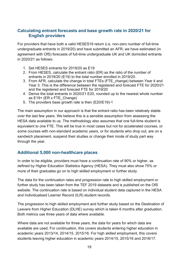#### <span id="page-18-0"></span>**Calculating entrant forecasts and base growth rate in 2020/21 for English providers**

For providers that have both a valid HESES19 return (i.e. non-zero number of full-time undergraduate entrants in 2019/20) and have submitted an AFR, we have estimated (in agreement with OfS) forecasts of full-time undergraduate UK and UK domiciled entrants in 2020/21 as follows:

- 1. Set HESES entrants for 2019/20 as E19
- 2. From HESES, calculate the entrant ratio (ER) as the ratio of the number of entrants in 2019/20 (E19) to the total number enrolled in 2019/20.
- 3. From AFR, calculate the change in total FTEs (FTE\_change) between Year 4 and Year 3. This is the difference between the registered and forecast FTE for 2020/21 and the registered and forecast FTE for 2019/20
- 4. Derive the total entrants in 2020/21 E20, rounded up to the nearest whole number as E19+ (ER x FTE\_Change)
- 5. The providers base growth rate is then (E20/E19)-1

The main assumption in our approach is that the entrant ratio has been relatively stable over the last few years. We believe this is a sensible assumption from assessing the HESA data available to us. The methodology also assumes that one full-time student is equivalent to one FTE. This will be true in most cases but not for accelerated courses, or some courses with non-standard academic years, or for students who drop out, are on a sandwich placement, suspend their studies or change their mode of study part way through the year.

#### <span id="page-18-1"></span>**Additional 5,000 non-healthcare places**

In order to be eligible, providers must have a continuation rate of 90% or higher, as defined by Higher Education Statistics Agency (HESA). They must also show 75% or more of their graduates go on to high skilled employment or further study.

The data for the continuation rates and progression rate to high skilled employment or further study has been taken from the TEF 2019 datasets and is published on the OfS website. The continuation rate is based on individual student data captured in the HESA and Individualised Learner Record (ILR) student records.

The progression to high skilled employment and further study based on the Destination of Leavers from Higher Education (DLHE) survey which is taken 6 months after graduation. Both metrics use three years of data where available.

Where data are not available for three years, the data for years for which data are available are used. For continuation, this covers students entering higher education in academic years 2013/14, 2014/15, 2015/16. For high skilled employment, this covers students leaving higher education in academic years 2014/15, 2015/16 and 2016/17.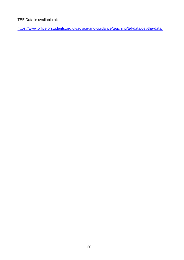#### TEF Data is available at:

[https://www.officeforstudents.org.uk/advice-and-guidance/teaching/tef-data/get-the-data/.](https://www.officeforstudents.org.uk/advice-and-guidance/teaching/tef-data/get-the-data/)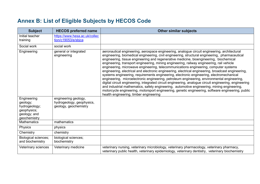# **Annex B: List of Eligible Subjects by HECOS Code**

<span id="page-20-0"></span>

| <b>Subject</b>                                                                          | <b>HECOS preferred name</b>                                                | <b>Other similar subjects</b>                                                                                                                                                                                                                                                                                                                                                                                                                                                                                                                                                                                                                                                                                                                                                                                                                                                                                                                                                                                                                                                                                                          |
|-----------------------------------------------------------------------------------------|----------------------------------------------------------------------------|----------------------------------------------------------------------------------------------------------------------------------------------------------------------------------------------------------------------------------------------------------------------------------------------------------------------------------------------------------------------------------------------------------------------------------------------------------------------------------------------------------------------------------------------------------------------------------------------------------------------------------------------------------------------------------------------------------------------------------------------------------------------------------------------------------------------------------------------------------------------------------------------------------------------------------------------------------------------------------------------------------------------------------------------------------------------------------------------------------------------------------------|
| Initial teacher<br>training                                                             | https://www.hesa.ac.uk/collec<br>tion/c19053/e/sbjca                       |                                                                                                                                                                                                                                                                                                                                                                                                                                                                                                                                                                                                                                                                                                                                                                                                                                                                                                                                                                                                                                                                                                                                        |
| Social work                                                                             | social work                                                                |                                                                                                                                                                                                                                                                                                                                                                                                                                                                                                                                                                                                                                                                                                                                                                                                                                                                                                                                                                                                                                                                                                                                        |
| Engineering                                                                             | general or integrated<br>engineering                                       | aeronautical engineering, aerospace engineering, analogue circuit engineering, architectural<br>engineering, biomedical engineering, civil engineering, structural engineering, pharmaceutical<br>engineering, tissue engineering and regenerative medicine, bioengineering, biochemical<br>engineering, transport engineering, mining engineering, railway engineering, rail vehicle<br>engineering, microwave engineering, telecommunications engineering, computer systems<br>engineering, electrical and electronic engineering, electrical engineering, broadcast engineering,<br>systems engineering, requirements engineering, electronic engineering, electromechanical<br>engineering, microelectronic engineering, petroleum engineering, environmental engineering,<br>digital circuit engineering, integrated circuit engineering, analogue circuit engineering, engineering<br>and industrial mathematics, safety engineering, automotive engineering, mining engineering,<br>motorcycle engineering, motorsport engineering, genetic engineering, software engineering, public<br>health engineering, timber engineering |
| Engineering<br>geology;<br>hydrogeology;<br>geophysics;<br>geology; and<br>geochemistry | engineering geology,<br>hydrogeology, geophysics,<br>geology, geochemistry |                                                                                                                                                                                                                                                                                                                                                                                                                                                                                                                                                                                                                                                                                                                                                                                                                                                                                                                                                                                                                                                                                                                                        |
| <b>Mathematics</b>                                                                      | mathematics                                                                |                                                                                                                                                                                                                                                                                                                                                                                                                                                                                                                                                                                                                                                                                                                                                                                                                                                                                                                                                                                                                                                                                                                                        |
| Physics                                                                                 | physics                                                                    |                                                                                                                                                                                                                                                                                                                                                                                                                                                                                                                                                                                                                                                                                                                                                                                                                                                                                                                                                                                                                                                                                                                                        |
| Chemistry                                                                               | chemistry                                                                  |                                                                                                                                                                                                                                                                                                                                                                                                                                                                                                                                                                                                                                                                                                                                                                                                                                                                                                                                                                                                                                                                                                                                        |
| <b>Biological sciences;</b><br>and biochemistry                                         | biological sciences;<br>biochemistry                                       |                                                                                                                                                                                                                                                                                                                                                                                                                                                                                                                                                                                                                                                                                                                                                                                                                                                                                                                                                                                                                                                                                                                                        |
| Veterinary sciences                                                                     | Veterinary medicine                                                        | veterinary nursing, veterinary microbiology, veterinary pharmacology, veterinary pharmacy,<br>veterinary public health, veterinary epidemiology, veterinary dentistry, veterinary biochemistry                                                                                                                                                                                                                                                                                                                                                                                                                                                                                                                                                                                                                                                                                                                                                                                                                                                                                                                                         |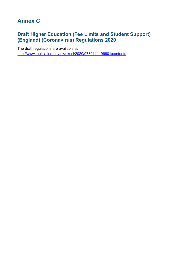## <span id="page-21-0"></span>**Annex C**

## <span id="page-21-1"></span>**Draft Higher Education (Fee Limits and Student Support) (England) (Coronavirus) Regulations 2020**

The draft regulations are available at: <http://www.legislation.gov.uk/ukdsi/2020/9780111196601/contents>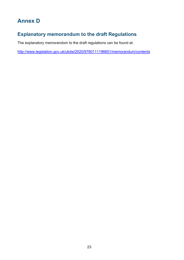## <span id="page-22-0"></span>**Annex D**

## <span id="page-22-1"></span>**Explanatory memorandum to the draft Regulations**

The explanatory memorandom to the draft regulations can be found at:

<http://www.legislation.gov.uk/ukdsi/2020/9780111196601/memorandum/contents>